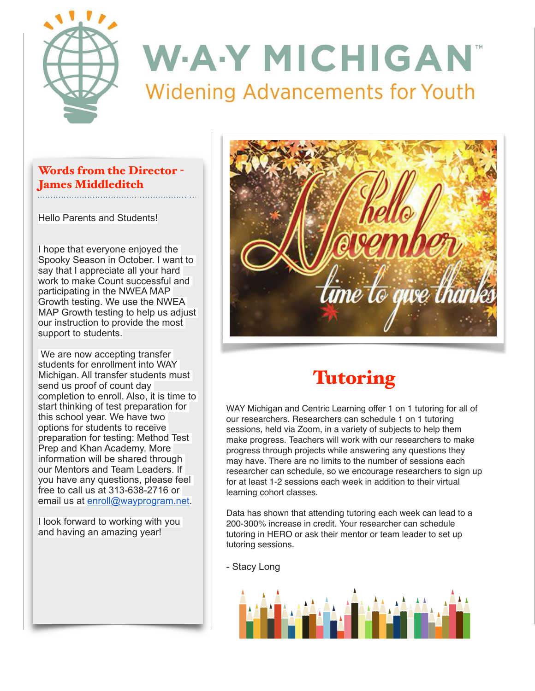

## Words from the Director - James Middleditch

Hello Parents and Students!

I hope that everyone enjoyed the Spooky Season in October. I want to say that I appreciate all your hard work to make Count successful and participating in the NWEA MAP Growth testing. We use the NWEA MAP Growth testing to help us adjust our instruction to provide the most support to students.

We are now accepting transfer students for enrollment into WAY Michigan. All transfer students must send us proof of count day completion to enroll. Also, it is time to start thinking of test preparation for this school year. We have two options for students to receive preparation for testing: Method Test Prep and Khan Academy. More information will be shared through our Mentors and Team Leaders. If you have any questions, please feel free to call us at 313-638-2716 or email us at [enroll@wayprogram.net.](mailto:enroll@wayprogram.net)

I look forward to working with you and having an amazing year!



## **Tutoring**

WAY Michigan and Centric Learning offer 1 on 1 tutoring for all of our researchers. Researchers can schedule 1 on 1 tutoring sessions, held via Zoom, in a variety of subjects to help them make progress. Teachers will work with our researchers to make progress through projects while answering any questions they may have. There are no limits to the number of sessions each researcher can schedule, so we encourage researchers to sign up for at least 1-2 sessions each week in addition to their virtual learning cohort classes.

Data has shown that attending tutoring each week can lead to a 200-300% increase in credit. Your researcher can schedule tutoring in HERO or ask their mentor or team leader to set up tutoring sessions.

- Stacy Long